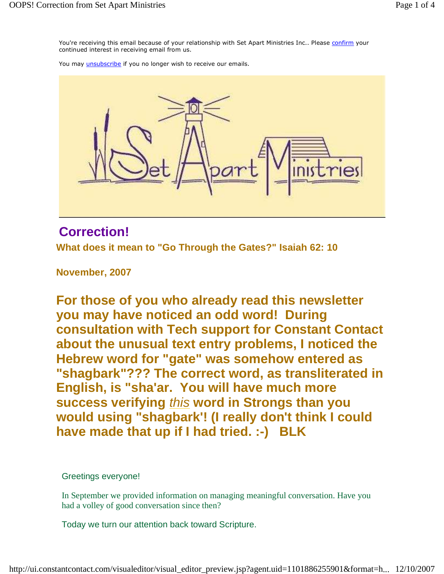You're receiving this email because of your relationship with Set Apart Ministries Inc.. Please confirm your continued interest in receiving email from us.

You may *unsubscribe* if you no longer wish to receive our emails.



## **Correction!**

**What does it mean to "Go Through the Gates?" Isaiah 62: 10**

**November, 2007** 

**For those of you who already read this newsletter you may have noticed an odd word! During consultation with Tech support for Constant Contact about the unusual text entry problems, I noticed the Hebrew word for "gate" was somehow entered as "shagbark"??? The correct word, as transliterated in English, is "sha'ar. You will have much more success verifying** this **word in Strongs than you would using "shagbark'! (I really don't think I could have made that up if I had tried. :-) BLK**

Greetings everyone!

In September we provided information on managing meaningful conversation. Have you had a volley of good conversation since then?

Today we turn our attention back toward Scripture.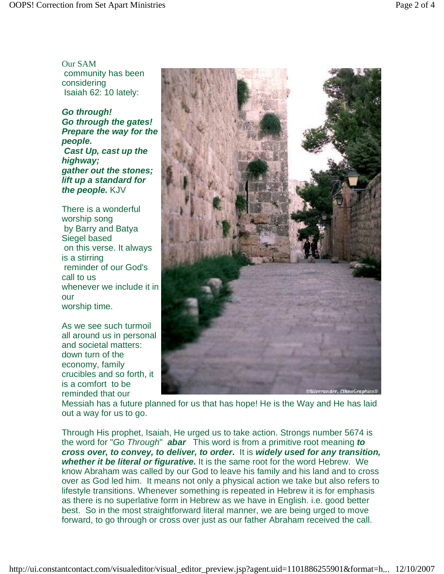Our SAM community has been considering Isaiah 62: 10 lately:

**Go through! Go through the gates! Prepare the way for the people. Cast Up, cast up the highway; gather out the stones; lift up a standard for the people.** KJV

There is a wonderful worship song by Barry and Batya Siegel based on this verse. It always is a stirring reminder of our God's call to us whenever we include it in our worship time.

As we see such turmoil all around us in personal and societal matters: down turn of the economy, family crucibles and so forth, it is a comfort to be reminded that our



Messiah has a future planned for us that has hope! He is the Way and He has laid out a way for us to go.

Through His prophet, Isaiah, He urged us to take action. Strongs number 5674 is the word for "Go Through" **abar** This word is from a primitive root meaning **to cross over, to convey, to deliver, to order.** It is **widely used for any transition, whether it be literal or figurative.** It is the same root for the word Hebrew. We know Abraham was called by our God to leave his family and his land and to cross over as God led him. It means not only a physical action we take but also refers to lifestyle transitions. Whenever something is repeated in Hebrew it is for emphasis as there is no superlative form in Hebrew as we have in English. i.e. good better best. So in the most straightforward literal manner, we are being urged to move forward, to go through or cross over just as our father Abraham received the call.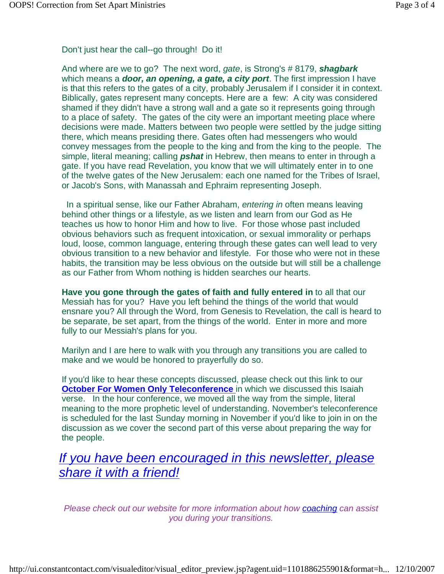Don't just hear the call--go through! Do it!

And where are we to go? The next word, gate, is Strong's # 8179, **shagbark**  which means a **door, an opening, a gate, a city port**. The first impression I have is that this refers to the gates of a city, probably Jerusalem if I consider it in context. Biblically, gates represent many concepts. Here are a few: A city was considered shamed if they didn't have a strong wall and a gate so it represents going through to a place of safety. The gates of the city were an important meeting place where decisions were made. Matters between two people were settled by the judge sitting there, which means presiding there. Gates often had messengers who would convey messages from the people to the king and from the king to the people. The simple, literal meaning; calling **pshat** in Hebrew, then means to enter in through a gate. If you have read Revelation, you know that we will ultimately enter in to one of the twelve gates of the New Jerusalem: each one named for the Tribes of Israel, or Jacob's Sons, with Manassah and Ephraim representing Joseph.

In a spiritual sense, like our Father Abraham, entering in often means leaving behind other things or a lifestyle, as we listen and learn from our God as He teaches us how to honor Him and how to live. For those whose past included obvious behaviors such as frequent intoxication, or sexual immorality or perhaps loud, loose, common language, entering through these gates can well lead to very obvious transition to a new behavior and lifestyle. For those who were not in these habits, the transition may be less obvious on the outside but will still be a challenge as our Father from Whom nothing is hidden searches our hearts.

**Have you gone through the gates of faith and fully entered in** to all that our Messiah has for you? Have you left behind the things of the world that would ensnare you? All through the Word, from Genesis to Revelation, the call is heard to be separate, be set apart, from the things of the world. Enter in more and more fully to our Messiah's plans for you.

Marilyn and I are here to walk with you through any transitions you are called to make and we would be honored to prayerfully do so.

If you'd like to hear these concepts discussed, please check out this link to our **October For Women Only Teleconference** in which we discussed this Isaiah verse. In the hour conference, we moved all the way from the simple, literal meaning to the more prophetic level of understanding. November's teleconference is scheduled for the last Sunday morning in November if you'd like to join in on the discussion as we cover the second part of this verse about preparing the way for the people.

## If you have been encouraged in this newsletter, please share it with a friend!

Please check out our website for more information about how coaching can assist you during your transitions.